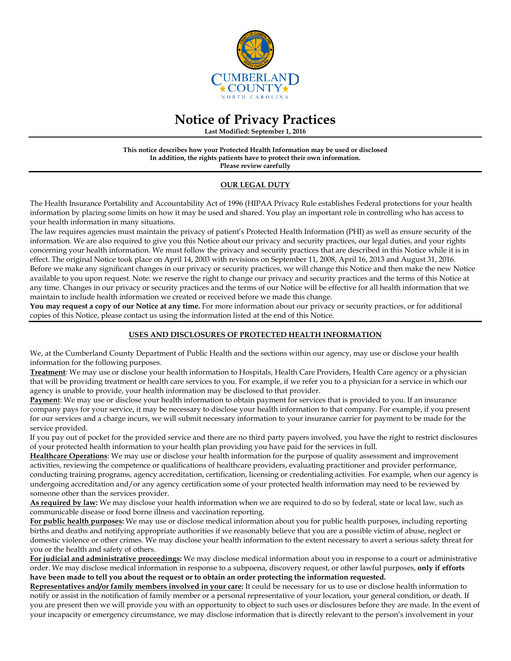

# **Notice of Privacy Practices**

**Last Modified: September 1, 2016**

#### **This notice describes how your Protected Health Information may be used or disclosed In addition, the rights patients have to protect their own information. Please review carefully**

**OUR LEGAL DUTY**

The Health Insurance Portability and Accountability Act of 1996 (HIPAA Privacy Rule establishes Federal protections for your health information by placing some limits on how it may be used and shared. You play an important role in controlling who has access to your health information in many situations.

The law requires agencies must maintain the privacy of patient's Protected Health Information (PHI) as well as ensure security of the information. We are also required to give you this Notice about our privacy and security practices, our legal duties, and your rights concerning your health information. We must follow the privacy and security practices that are described in this Notice while it is in effect. The original Notice took place on April 14, 2003 with revisions on September 11, 2008, April 16, 2013 and August 31, 2016. Before we make any significant changes in our privacy or security practices, we will change this Notice and then make the new Notice available to you upon request. Note: we reserve the right to change our privacy and security practices and the terms of this Notice at any time. Changes in our privacy or security practices and the terms of our Notice will be effective for all health information that we maintain to include health information we created or received before we made this change.

**You may request a copy of our Notice at any time.** For more information about our privacy or security practices, or for additional copies of this Notice, please contact us using the information listed at the end of this Notice.

## **USES AND DISCLOSURES OF PROTECTED HEALTH INFORMATION**

We, at the Cumberland County Department of Public Health and the sections within our agency, may use or disclose your health information for the following purposes.

**Treatment**: We may use or disclose your health information to Hospitals, Health Care Providers, Health Care agency or a physician that will be providing treatment or health care services to you. For example, if we refer you to a physician for a service in which our agency is unable to provide, your health information may be disclosed to that provider.

Payment: We may use or disclose your health information to obtain payment for services that is provided to you. If an insurance company pays for your service, it may be necessary to disclose your health information to that company. For example, if you present for our services and a charge incurs, we will submit necessary information to your insurance carrier for payment to be made for the service provided.

If you pay out of pocket for the provided service and there are no third party payers involved, you have the right to restrict disclosures of your protected health information to your health plan providing you have paid for the services in full.

**Healthcare Operations**: We may use or disclose your health information for the purpose of quality assessment and improvement activities, reviewing the competence or qualifications of healthcare providers, evaluating practitioner and provider performance, conducting training programs, agency accreditation, certification, licensing or credentialing activities. For example, when our agency is undergoing accreditation and/or any agency certification some of your protected health information may need to be reviewed by someone other than the services provider.

**As required by law:** We may disclose your health information when we are required to do so by federal, state or local law, such as communicable disease or food borne illness and vaccination reporting.

**For public health purposes:** We may use or disclose medical information about you for public health purposes, including reporting births and deaths and notifying appropriate authorities if we reasonably believe that you are a possible victim of abuse, neglect or domestic violence or other crimes. We may disclose your health information to the extent necessary to avert a serious safety threat for you or the health and safety of others.

**For judicial and administrative proceedings:** We may disclose medical information about you in response to a court or administrative order. We may disclose medical information in response to a subpoena, discovery request, or other lawful purposes, **only if efforts have been made to tell you about the request or to obtain an order protecting the information requested.** 

**Representatives and/or family members involved in your care:** It could be necessary for us to use or disclose health information to notify or assist in the notification of family member or a personal representative of your location, your general condition, or death. If you are present then we will provide you with an opportunity to object to such uses or disclosures before they are made. In the event of your incapacity or emergency circumstance, we may disclose information that is directly relevant to the person's involvement in your